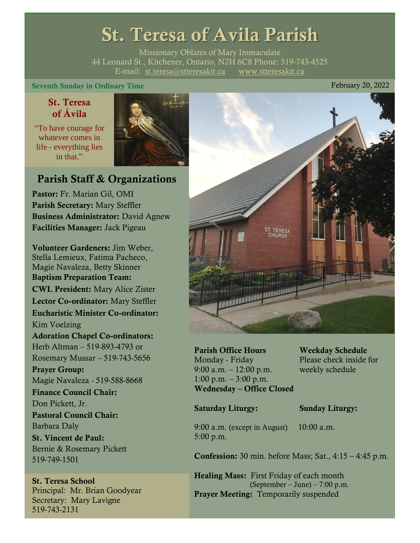# St. Teresa of Avila Parish

Missionary Oblates of Mary Immaculate 44 Leonard St., Kitchener, Ontario, N2H 6C8 Phone: 519-743-4525 E-mail: [st.teresa@stteresakit.ca](mailto:st.teresa@stteresakit.ca) [www.stteresakit.ca](http://www.stteresakit.ca/)

# Seventh Sunday in Ordinary Time February 20, 2022

# St. Teresa of Ávila

"To have courage for whatever comes in life - everything lies in that"



# Parish Staff & Organizations

Pastor: Fr. Marian Gil, OMI Parish Secretary: Mary Steffler Business Administrator: David Agnew Facilities Manager: Jack Pigeau

Volunteer Gardeners: Jim Weber, Stella Lemieux, Fatima Pacheco, Magie Navaleza, Betty Skinner Baptism Preparation Team: CWL President: Mary Alice Zister Lector Co-ordinator: Mary Steffler Eucharistic Minister Co-ordinator: Kim Voelzing Adoration Chapel Co-ordinators: Herb Altman – 519-893-4793 or Rosemary Mussar – 519-743-5656 Prayer Group: Magie Navaleza - 519-588-8668 Finance Council Chair: Don Pickett, Jr. Pastoral Council Chair: Barbara Daly St. Vincent de Paul: Bernie & Rosemary Pickett 519-749-1501

# St. Teresa School Principal: Mr. Brian Goodyear Secretary: Mary Lavigne 519-743-2131



Parish Office Hours Weekday Schedule Monday - Friday Please check inside for 9:00 a.m. – 12:00 p.m. weekly schedule  $1:00 \text{ p.m.} - 3:00 \text{ p.m.}$ Wednesday – Office Closed

# Saturday Liturgy: Sunday Liturgy:

9:00 a.m. (except in August) 10:00 a.m. 5:00 p.m.

Confession: 30 min. before Mass; Sat., 4:15 – 4:45 p.m.

Healing Mass: First Friday of each month (September – June) – 7:00 p.m. Prayer Meeting: Temporarily suspended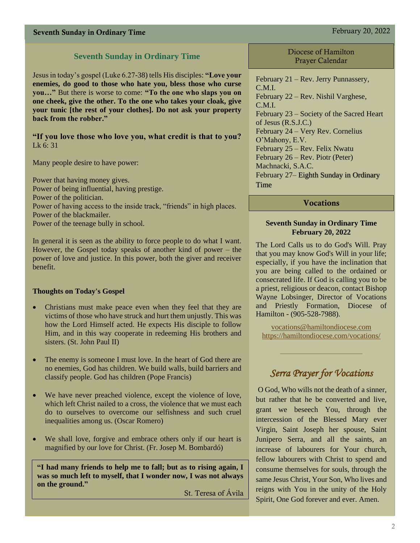# Seventh Sunday in Ordinary Time February 20, 2022

# **Seventh Sunday in Ordinary Time**

Jesus in today's gospel (Luke 6.27-38) tells His disciples: **"Love your enemies, do good to those who hate you, bless those who curse you…"** But there is worse to come: **"To the one who slaps you on one cheek, give the other. To the one who takes your cloak, give your tunic [the rest of your clothes]. Do not ask your property back from the robber."**

# **"If you love those who love you, what credit is that to you?**  Lk 6: 31

Many people desire to have power:

Power that having money gives. Power of being influential, having prestige. Power of the politician. Power of having access to the inside track, "friends" in high places. Power of the blackmailer. Power of the teenage bully in school.

In general it is seen as the ability to force people to do what I want. However, the Gospel today speaks of another kind of power – the power of love and justice. In this power, both the giver and receiver benefit.

### **Thoughts on Today's Gospel**

- Christians must make peace even when they feel that they are victims of those who have struck and hurt them unjustly. This was how the Lord Himself acted. He expects His disciple to follow Him, and in this way cooperate in redeeming His brothers and sisters. (St. John Paul II)
- The enemy is someone I must love. In the heart of God there are no enemies, God has children. We build walls, build barriers and classify people. God has children (Pope Francis)
- We have never preached violence, except the violence of love, which left Christ nailed to a cross, the violence that we must each do to ourselves to overcome our selfishness and such cruel inequalities among us. (Oscar Romero)
- We shall love, forgive and embrace others only if our heart is magnified by our love for Christ. (Fr. Josep M. Bombardó)

**"I had many friends to help me to fall; but as to rising again, I was so much left to myself, that I wonder now, I was not always on the ground."** 

St. Teresa of Ávila

Diocese of Hamilton Prayer Calendar

February 21 – Rev. Jerry Punnassery, C.M.I. February 22 – Rev. Nishil Varghese, C.M.I. February 23 – Society of the Sacred Heart of Jesus (R.S.J.C.) February 24 – Very Rev. Cornelius O'Mahony, E.V. February 25 – Rev. Felix Nwatu February 26 – Rev. Piotr (Peter) Machnacki, S.A.C. February 27– Eighth Sunday in Ordinary Time

## **Vocations**

#### **Seventh Sunday in Ordinary Time February 20, 2022**

The Lord Calls us to do God's Will. Pray that you may know God's Will in your life; especially, if you have the inclination that you are being called to the ordained or consecrated life. If God is calling you to be a priest, religious or deacon, contact Bishop Wayne Lobsinger, Director of Vocations and Priestly Formation, Diocese of Hamilton - (905-528-7988).

[vocations@hamiltondiocese.com](mailto:vocations@hamiltondiocese.com)  <https://hamiltondiocese.com/vocations/>

# *Serra Prayer for Vocations*

O God, Who wills not the death of a sinner, but rather that he be converted and live, grant we beseech You, through the intercession of the Blessed Mary ever Virgin, Saint Joseph her spouse, Saint Junipero Serra, and all the saints, an increase of labourers for Your church, fellow labourers with Christ to spend and consume themselves for souls, through the same Jesus Christ, Your Son, Who lives and reigns with You in the unity of the Holy Spirit, One God forever and ever. Amen.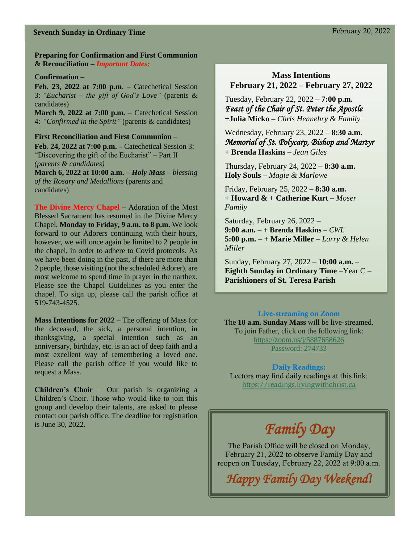# Seventh Sunday in Ordinary Time February 20, 2022

**Preparing for Confirmation and First Communion & Reconciliation –** *Important Dates:*

#### **Confirmation –**

**Feb. 23, 2022 at 7:00 p.m**. – Catechetical Session 3: *"Eucharist* – *the gift of God's Love"* (parents & candidates)

**March 9, 2022 at 7:00 p.m.** – Catechetical Session 4: *"Confirmed in the Spirit"* (parents & candidates)

**First Reconciliation and First Communion** – **Feb. 24, 2022 at 7:00 p.m. –** Catechetical Session 3: "Discovering the gift of the Eucharist" – Part II *(parents & candidates)*

**March 6, 2022 at 10:00 a.m.** *– Holy Mass – blessing of the Rosary and Medallions* (parents and candidates)

**The Divine Mercy Chapel** – Adoration of the Most Blessed Sacrament has resumed in the Divine Mercy Chapel, **Monday to Friday, 9 a.m. to 8 p.m.** We look forward to our Adorers continuing with their hours, however, we will once again be limited to 2 people in the chapel, in order to adhere to Covid protocols. As we have been doing in the past, if there are more than 2 people, those visiting (not the scheduled Adorer), are most welcome to spend time in prayer in the narthex. Please see the Chapel Guidelines as you enter the chapel. To sign up, please call the parish office at 519-743-4525.

**Mass Intentions for 2022** – The offering of Mass for the deceased, the sick, a personal intention, in thanksgiving, a special intention such as an anniversary, birthday, etc. is an act of deep faith and a most excellent way of remembering a loved one. Please call the parish office if you would like to request a Mass.

**Children's Choir** – Our parish is organizing a Children's Choir. Those who would like to join this group and develop their talents, are asked to please contact our parish office. The deadline for registration is June 30, 2022.

# **Mass Intentions February 21, 2022 – February 27, 2022**

Tuesday, February 22, 2022 – **7:00 p.m.** *Feast of the Chair of St. Peter the Apostle*  **+Julia Micko –** *Chris Hennebry & Family*

Wednesday, February 23, 2022 – **8:30 a.m.** *Memorial of St. Polycarp, Bishop and Martyr*  **+ Brenda Haskins** *– Jean Giles*

Thursday, February 24, 2022 – **8:30 a.m. Holy Souls –** *Magie & Marlowe*

Friday, February 25, 2022 – **8:30 a.m.** **+ Howard & + Catherine Kurt –** *Moser Family*

Saturday, February 26, 2022 – **9:00 a.m.** – **+ Brenda Haskins –** *CWL* **5:00 p.m.** – **+ Marie Miller** – *Larry & Helen Miller*

Sunday, February 27, 2022 – **10:00 a.m.** – **Eighth Sunday in Ordinary Time** –Year C – **Parishioners of St. Teresa Parish** 

#### Live-streaming on Zoom

The **10 a.m. Sunday Mass** will be live-streamed. To join Father, click on the following link: <https://zoom.us/j/5887658626> Password: 274733

#### Daily Readings:

Lectors may find daily readings at this link: [https://readings.livingwithchrist.ca](https://readings.livingwithchrist.ca/)

# *Family Day*

The Parish Office will be closed on Monday, February 21, 2022 to observe Family Day and reopen on Tuesday, February 22, 2022 at 9:00 a.m.

*Happy Family Day Weekend!*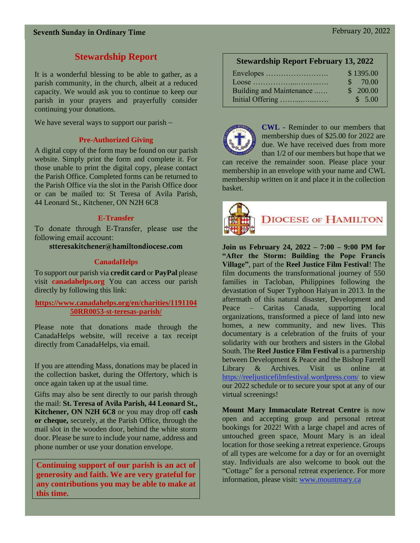# **Stewardship Report**

It is a wonderful blessing to be able to gather, as a parish community, in the church, albeit at a reduced capacity. We would ask you to continue to keep our parish in your prayers and prayerfully consider continuing your donations.

We have several ways to support our parish –

### **Pre-Authorized Giving**

A digital copy of the form may be found on our parish website. Simply print the form and complete it. For those unable to print the digital copy, please contact the Parish Office. Completed forms can be returned to the Parish Office via the slot in the Parish Office door or can be mailed to: St Teresa of Avila Parish, 44 Leonard St., Kitchener, ON N2H 6C8

### **E-Transfer**

To donate through E-Transfer, please use the following email account:

stteresakitchener@hamiltondiocese.com

## **CanadaHelps**

To support our parish via **credit card** or **PayPal** please visit **canadahelps.org** You can access our parish directly by following this link:

## **[https://www.canadahelps.org/en/charities/1191104](https://www.canadahelps.org/en/charities/119110450RR0053-st-teresas-parish/) [50RR0053-st-teresas-parish/](https://www.canadahelps.org/en/charities/119110450RR0053-st-teresas-parish/)**

Please note that donations made through the CanadaHelps website, will receive a tax receipt directly from CanadaHelps, via email.

If you are attending Mass, donations may be placed in the collection basket, during the Offertory, which is once again taken up at the usual time.

Gifts may also be sent directly to our parish through the mail: **St. Teresa of Avila Parish, 44 Leonard St., Kitchener, ON N2H 6C8** or you may drop off **cash or cheque,** securely, at the Parish Office, through the mail slot in the wooden door, behind the white storm door. Please be sure to include your name, address and phone number or use your donation envelope.

**Continuing support of our parish is an act of generosity and faith. We are very grateful for any contributions you may be able to make at this time.**

|  | <b>Stewardship Report February 13, 2022</b> |  |
|--|---------------------------------------------|--|
|--|---------------------------------------------|--|

| Envelopes                | \$1395.00 |
|--------------------------|-----------|
|                          | \$70.00   |
| Building and Maintenance | \$200.00  |
| Initial Offering         | \$5.00    |



**CWL -** Reminder to our members that membership dues of \$25.00 for 2022 are due. We have received dues from more than 1/2 of our members but hope that we

can receive the remainder soon. Please place your membership in an envelope with your name and CWL membership written on it and place it in the collection basket.



# **DIOCESE OF HAMILTON**

**Join us February 24, 2022 – 7:00 – 9:00 PM for "After the Storm: Building the Pope Francis Village"**, part of the **Reel Justice Film Festival**! The film documents the transformational journey of 550 families in Tacloban, Philippines following the devastation of Super Typhoon Haiyan in 2013. In the aftermath of this natural disaster, Development and Peace – Caritas Canada, supporting local organizations, transformed a piece of land into new homes, a new community, and new lives. This documentary is a celebration of the fruits of your solidarity with our brothers and sisters in the Global South. The **Reel Justice Film Festival** is a partnership between Development & Peace and the Bishop Farrell Library & Archives. Visit us online at [https://reeljusticefilmfestival.wordpress.com/](https://can01.safelinks.protection.outlook.com/?url=https%3A%2F%2Freeljusticefilmfestival.wordpress.com%2F&data=04%7C01%7CEmily.Lukasik%40devp.org%7Ce35b48a1ea914b6eb29408d9d562bdd7%7C0c1bd799874b4d7ab4424e9353c4d591%7C1%7C0%7C637775442411127920%7CUnknown%7CTWFpbGZsb3d8eyJWIjoiMC4wLjAwMDAiLCJQIjoiV2luMzIiLCJBTiI6Ik1haWwiLCJXVCI6Mn0%3D%7C2000&sdata=QbN60tgbNxLy5eaCiUWLElX%2BIFaML79WwxTMAy38AQs%3D&reserved=0) to view our 2022 schedule or to secure your spot at any of our virtual screenings!

**Mount Mary Immaculate Retreat Centre** is now open and accepting group and personal retreat bookings for 2022! With a large chapel and acres of untouched green space, Mount Mary is an ideal location for those seeking a retreat experience. Groups of all types are welcome for a day or for an overnight stay. Individuals are also welcome to book out the "Cottage" for a personal retreat experience. For more information, please visit: [www.mountmary.ca](http://www.mountmary.ca/)